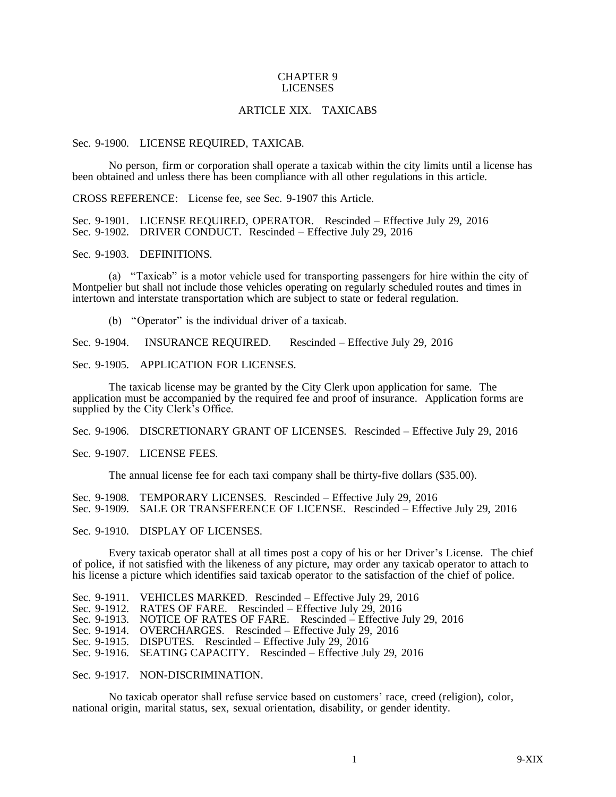## CHAPTER 9 LICENSES

## ARTICLE XIX. TAXICABS

## Sec. 9-1900. LICENSE REQUIRED, TAXICAB.

No person, firm or corporation shall operate a taxicab within the city limits until a license has been obtained and unless there has been compliance with all other regulations in this article.

CROSS REFERENCE: License fee, see Sec. 9-1907 this Article.

Sec. 9-1901. LICENSE REQUIRED, OPERATOR. Rescinded – Effective July 29, 2016 Sec. 9-1902. DRIVER CONDUCT. Rescinded – Effective July 29, 2016

Sec. 9-1903. DEFINITIONS.

(a) "Taxicab" is a motor vehicle used for transporting passengers for hire within the city of Montpelier but shall not include those vehicles operating on regularly scheduled routes and times in intertown and interstate transportation which are subject to state or federal regulation.

(b) "Operator" is the individual driver of a taxicab.

Sec. 9-1904. INSURANCE REQUIRED. Rescinded – Effective July 29, 2016

Sec. 9-1905. APPLICATION FOR LICENSES.

The taxicab license may be granted by the City Clerk upon application for same. The application must be accompanied by the required fee and proof of insurance. Application forms are supplied by the City Clerk's Office.

Sec. 9-1906. DISCRETIONARY GRANT OF LICENSES. Rescinded – Effective July 29, 2016

Sec. 9-1907. LICENSE FEES.

The annual license fee for each taxi company shall be thirty-five dollars (\$35.00).

Sec. 9-1908. TEMPORARY LICENSES. Rescinded – Effective July 29, 2016

Sec. 9-1909. SALE OR TRANSFERENCE OF LICENSE. Rescinded – Effective July 29, 2016

Sec. 9-1910. DISPLAY OF LICENSES.

Every taxicab operator shall at all times post a copy of his or her Driver's License. The chief of police, if not satisfied with the likeness of any picture, may order any taxicab operator to attach to his license a picture which identifies said taxicab operator to the satisfaction of the chief of police.

Sec. 9-1913. NOTICE OF RATES OF FARE. Rescinded – Effective July 29, 2016

Sec. 9-1915. DISPUTES. Rescinded – Effective July 29, 2016

Sec. 9-1917. NON-DISCRIMINATION.

No taxicab operator shall refuse service based on customers' race, creed (religion), color, national origin, marital status, sex, sexual orientation, disability, or gender identity.

Sec. 9-1911. VEHICLES MARKED. Rescinded – Effective July 29, 2016

Sec. 9-1912. RATES OF FARE. Rescinded – Effective July 29, 2016

Sec. 9-1914. OVERCHARGES. Rescinded – Effective July 29, 2016

Sec. 9-1916. SEATING CAPACITY. Rescinded – Effective July 29, 2016